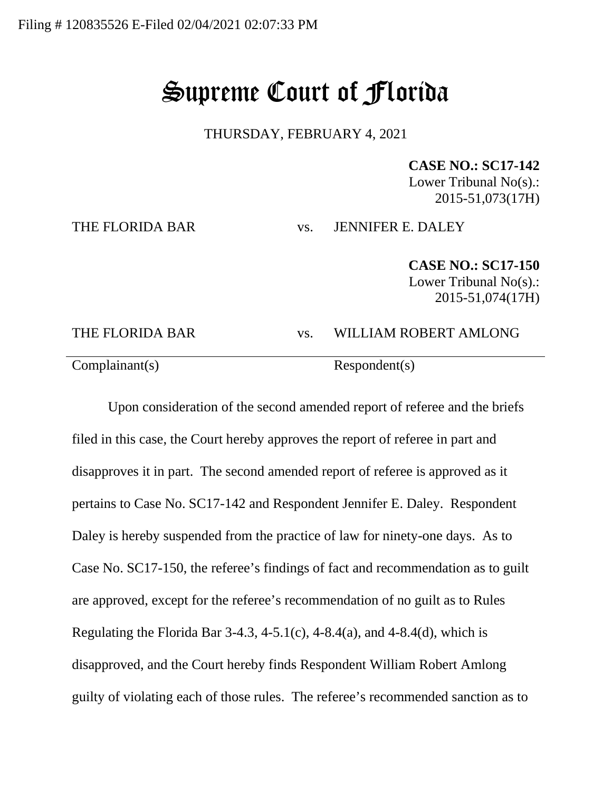## Supreme Court of Florida

THURSDAY, FEBRUARY 4, 2021

## **CASE NO.: SC17-142**

Lower Tribunal No(s).: 2015-51,073(17H)

THE FLORIDA BAR vs. JENNIFER E. DALEY

**CASE NO.: SC17-150** Lower Tribunal No(s).: 2015-51,074(17H)

## THE FLORIDA BAR vs. WILLIAM ROBERT AMLONG Complainant(s) Respondent(s)

Upon consideration of the second amended report of referee and the briefs filed in this case, the Court hereby approves the report of referee in part and disapproves it in part. The second amended report of referee is approved as it pertains to Case No. SC17-142 and Respondent Jennifer E. Daley. Respondent Daley is hereby suspended from the practice of law for ninety-one days. As to Case No. SC17-150, the referee's findings of fact and recommendation as to guilt are approved, except for the referee's recommendation of no guilt as to Rules Regulating the Florida Bar  $3-4.3$ ,  $4-5.1(c)$ ,  $4-8.4(a)$ , and  $4-8.4(d)$ , which is disapproved, and the Court hereby finds Respondent William Robert Amlong guilty of violating each of those rules. The referee's recommended sanction as to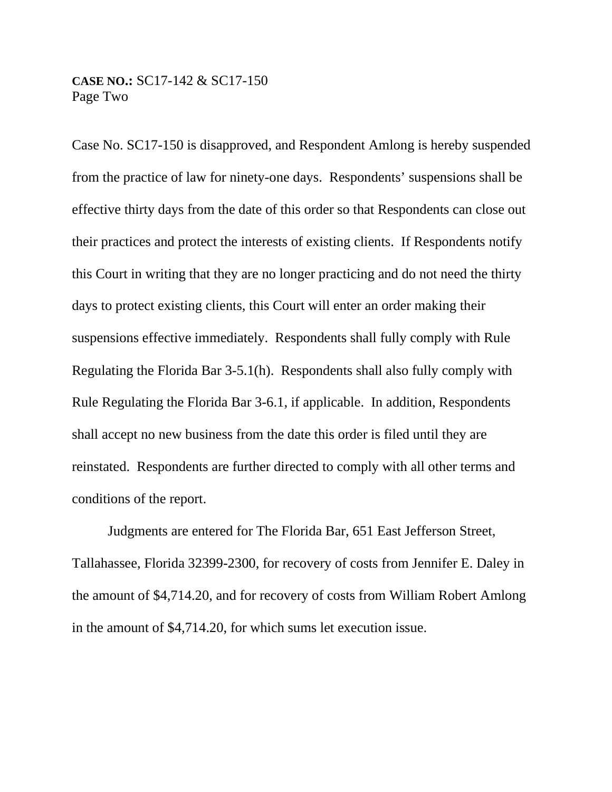## **CASE NO.:** SC17-142 & SC17-150 Page Two

Case No. SC17-150 is disapproved, and Respondent Amlong is hereby suspended from the practice of law for ninety-one days. Respondents' suspensions shall be effective thirty days from the date of this order so that Respondents can close out their practices and protect the interests of existing clients. If Respondents notify this Court in writing that they are no longer practicing and do not need the thirty days to protect existing clients, this Court will enter an order making their suspensions effective immediately. Respondents shall fully comply with Rule Regulating the Florida Bar 3-5.1(h). Respondents shall also fully comply with Rule Regulating the Florida Bar 3-6.1, if applicable. In addition, Respondents shall accept no new business from the date this order is filed until they are reinstated. Respondents are further directed to comply with all other terms and conditions of the report.

Judgments are entered for The Florida Bar, 651 East Jefferson Street, Tallahassee, Florida 32399-2300, for recovery of costs from Jennifer E. Daley in the amount of \$4,714.20, and for recovery of costs from William Robert Amlong in the amount of \$4,714.20, for which sums let execution issue.